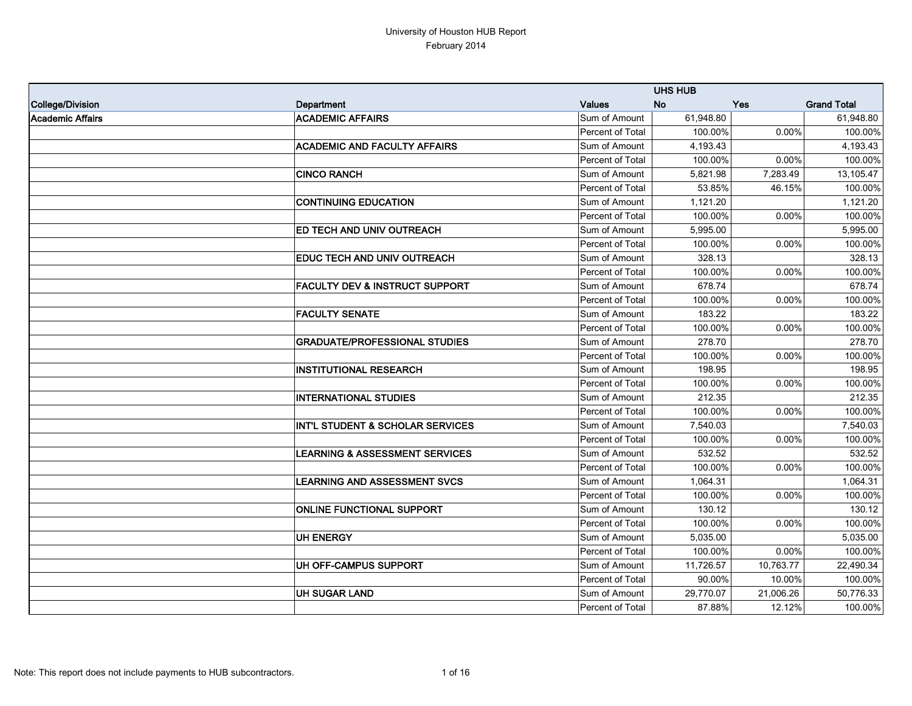|                  |                                           |                  | <b>UHS HUB</b> |           |                    |
|------------------|-------------------------------------------|------------------|----------------|-----------|--------------------|
| College/Division | Department                                | <b>Values</b>    | <b>No</b>      | Yes       | <b>Grand Total</b> |
| Academic Affairs | <b>ACADEMIC AFFAIRS</b>                   | Sum of Amount    | 61,948.80      |           | 61,948.80          |
|                  |                                           | Percent of Total | 100.00%        | $0.00\%$  | 100.00%            |
|                  | <b>ACADEMIC AND FACULTY AFFAIRS</b>       | Sum of Amount    | 4,193.43       |           | 4,193.43           |
|                  |                                           | Percent of Total | 100.00%        | 0.00%     | 100.00%            |
|                  | <b>CINCO RANCH</b>                        | Sum of Amount    | 5,821.98       | 7,283.49  | 13,105.47          |
|                  |                                           | Percent of Total | 53.85%         | 46.15%    | 100.00%            |
|                  | <b>CONTINUING EDUCATION</b>               | Sum of Amount    | 1,121.20       |           | 1,121.20           |
|                  |                                           | Percent of Total | 100.00%        | $0.00\%$  | 100.00%            |
|                  | <b>ED TECH AND UNIV OUTREACH</b>          | Sum of Amount    | 5,995.00       |           | 5,995.00           |
|                  |                                           | Percent of Total | 100.00%        | $0.00\%$  | 100.00%            |
|                  | <b>EDUC TECH AND UNIV OUTREACH</b>        | Sum of Amount    | 328.13         |           | 328.13             |
|                  |                                           | Percent of Total | 100.00%        | $0.00\%$  | 100.00%            |
|                  | <b>FACULTY DEV &amp; INSTRUCT SUPPORT</b> | Sum of Amount    | 678.74         |           | 678.74             |
|                  |                                           | Percent of Total | 100.00%        | $0.00\%$  | 100.00%            |
|                  | <b>FACULTY SENATE</b>                     | Sum of Amount    | 183.22         |           | 183.22             |
|                  |                                           | Percent of Total | 100.00%        | $0.00\%$  | 100.00%            |
|                  | <b>GRADUATE/PROFESSIONAL STUDIES</b>      | Sum of Amount    | 278.70         |           | 278.70             |
|                  |                                           | Percent of Total | 100.00%        | 0.00%     | 100.00%            |
|                  | <b>INSTITUTIONAL RESEARCH</b>             | Sum of Amount    | 198.95         |           | 198.95             |
|                  |                                           | Percent of Total | 100.00%        | 0.00%     | 100.00%            |
|                  | <b>INTERNATIONAL STUDIES</b>              | Sum of Amount    | 212.35         |           | 212.35             |
|                  |                                           | Percent of Total | 100.00%        | 0.00%     | 100.00%            |
|                  | INT'L STUDENT & SCHOLAR SERVICES          | Sum of Amount    | 7,540.03       |           | 7,540.03           |
|                  |                                           | Percent of Total | 100.00%        | 0.00%     | 100.00%            |
|                  | <b>LEARNING &amp; ASSESSMENT SERVICES</b> | Sum of Amount    | 532.52         |           | 532.52             |
|                  |                                           | Percent of Total | 100.00%        | 0.00%     | 100.00%            |
|                  | <b>LEARNING AND ASSESSMENT SVCS</b>       | Sum of Amount    | 1,064.31       |           | 1,064.31           |
|                  |                                           | Percent of Total | 100.00%        | 0.00%     | 100.00%            |
|                  | <b>ONLINE FUNCTIONAL SUPPORT</b>          | Sum of Amount    | 130.12         |           | 130.12             |
|                  |                                           | Percent of Total | 100.00%        | $0.00\%$  | 100.00%            |
|                  | <b>UH ENERGY</b>                          | Sum of Amount    | 5,035.00       |           | 5,035.00           |
|                  |                                           | Percent of Total | 100.00%        | $0.00\%$  | 100.00%            |
|                  | UH OFF-CAMPUS SUPPORT                     | Sum of Amount    | 11,726.57      | 10,763.77 | 22,490.34          |
|                  |                                           | Percent of Total | 90.00%         | $10.00\%$ | 100.00%            |
|                  | <b>UH SUGAR LAND</b>                      | Sum of Amount    | 29,770.07      | 21,006.26 | 50,776.33          |
|                  |                                           | Percent of Total | 87.88%         | 12.12%    | 100.00%            |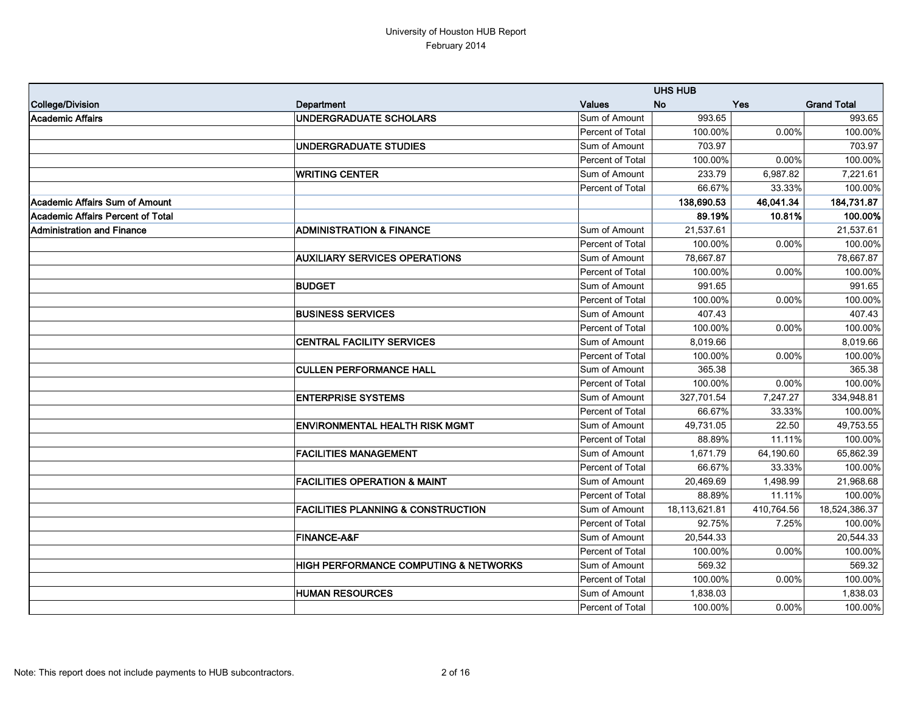|                                   |                                                  |                  | <b>UHS HUB</b> |            |                    |
|-----------------------------------|--------------------------------------------------|------------------|----------------|------------|--------------------|
| College/Division                  | Department                                       | <b>Values</b>    | <b>No</b>      | <b>Yes</b> | <b>Grand Total</b> |
| Academic Affairs                  | <b>UNDERGRADUATE SCHOLARS</b>                    | Sum of Amount    | 993.65         |            | 993.65             |
|                                   |                                                  | Percent of Total | 100.00%        | 0.00%      | 100.00%            |
|                                   | <b>UNDERGRADUATE STUDIES</b>                     | Sum of Amount    | 703.97         |            | 703.97             |
|                                   |                                                  | Percent of Total | 100.00%        | 0.00%      | 100.00%            |
|                                   | <b>WRITING CENTER</b>                            | Sum of Amount    | 233.79         | 6,987.82   | 7,221.61           |
|                                   |                                                  | Percent of Total | 66.67%         | 33.33%     | 100.00%            |
| Academic Affairs Sum of Amount    |                                                  |                  | 138,690.53     | 46,041.34  | 184,731.87         |
| Academic Affairs Percent of Total |                                                  |                  | 89.19%         | 10.81%     | 100.00%            |
| <b>Administration and Finance</b> | <b>ADMINISTRATION &amp; FINANCE</b>              | Sum of Amount    | 21,537.61      |            | 21,537.61          |
|                                   |                                                  | Percent of Total | 100.00%        | 0.00%      | 100.00%            |
|                                   | <b>AUXILIARY SERVICES OPERATIONS</b>             | Sum of Amount    | 78,667.87      |            | 78,667.87          |
|                                   |                                                  | Percent of Total | 100.00%        | 0.00%      | 100.00%            |
|                                   | <b>BUDGET</b>                                    | Sum of Amount    | 991.65         |            | 991.65             |
|                                   |                                                  | Percent of Total | 100.00%        | 0.00%      | 100.00%            |
|                                   | <b>BUSINESS SERVICES</b>                         | Sum of Amount    | 407.43         |            | 407.43             |
|                                   |                                                  | Percent of Total | 100.00%        | 0.00%      | 100.00%            |
|                                   | <b>CENTRAL FACILITY SERVICES</b>                 | Sum of Amount    | 8,019.66       |            | 8,019.66           |
|                                   |                                                  | Percent of Total | 100.00%        | 0.00%      | 100.00%            |
|                                   | <b>CULLEN PERFORMANCE HALL</b>                   | Sum of Amount    | 365.38         |            | 365.38             |
|                                   |                                                  | Percent of Total | 100.00%        | 0.00%      | 100.00%            |
|                                   | <b>ENTERPRISE SYSTEMS</b>                        | Sum of Amount    | 327,701.54     | 7,247.27   | 334,948.81         |
|                                   |                                                  | Percent of Total | 66.67%         | 33.33%     | 100.00%            |
|                                   | <b>ENVIRONMENTAL HEALTH RISK MGMT</b>            | Sum of Amount    | 49,731.05      | 22.50      | 49,753.55          |
|                                   |                                                  | Percent of Total | 88.89%         | 11.11%     | 100.00%            |
|                                   | <b>FACILITIES MANAGEMENT</b>                     | Sum of Amount    | 1,671.79       | 64,190.60  | 65,862.39          |
|                                   |                                                  | Percent of Total | 66.67%         | 33.33%     | 100.00%            |
|                                   | <b>FACILITIES OPERATION &amp; MAINT</b>          | Sum of Amount    | 20,469.69      | 1,498.99   | 21,968.68          |
|                                   |                                                  | Percent of Total | 88.89%         | 11.11%     | 100.00%            |
|                                   | <b>FACILITIES PLANNING &amp; CONSTRUCTION</b>    | Sum of Amount    | 18,113,621.81  | 410,764.56 | 18,524,386.37      |
|                                   |                                                  | Percent of Total | 92.75%         | 7.25%      | 100.00%            |
|                                   | <b>FINANCE-A&amp;F</b>                           | Sum of Amount    | 20,544.33      |            | 20,544.33          |
|                                   |                                                  | Percent of Total | 100.00%        | 0.00%      | 100.00%            |
|                                   | <b>HIGH PERFORMANCE COMPUTING &amp; NETWORKS</b> | Sum of Amount    | 569.32         |            | 569.32             |
|                                   |                                                  | Percent of Total | 100.00%        | $0.00\%$   | 100.00%            |
|                                   | <b>HUMAN RESOURCES</b>                           | Sum of Amount    | 1,838.03       |            | 1,838.03           |
|                                   |                                                  | Percent of Total | 100.00%        | $0.00\%$   | 100.00%            |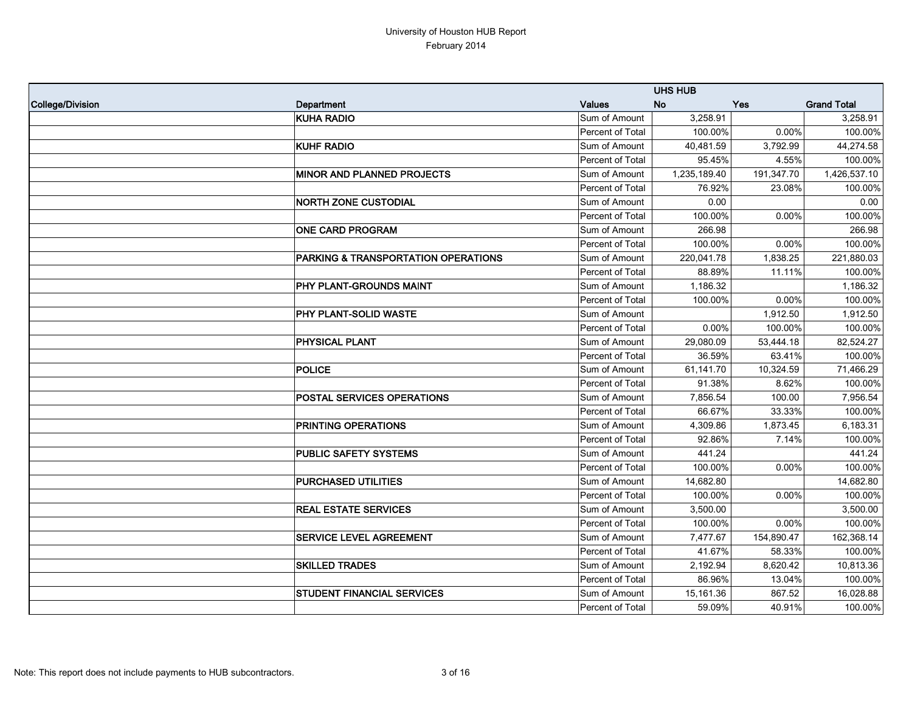|                  |                                     |                  | <b>UHS HUB</b> |            |                    |
|------------------|-------------------------------------|------------------|----------------|------------|--------------------|
| College/Division | Department                          | <b>Values</b>    | <b>No</b>      | Yes        | <b>Grand Total</b> |
|                  | <b>KUHA RADIO</b>                   | Sum of Amount    | 3,258.91       |            | 3,258.91           |
|                  |                                     | Percent of Total | 100.00%        | 0.00%      | 100.00%            |
|                  | <b>KUHF RADIO</b>                   | Sum of Amount    | 40,481.59      | 3,792.99   | 44,274.58          |
|                  |                                     | Percent of Total | 95.45%         | 4.55%      | 100.00%            |
|                  | <b>MINOR AND PLANNED PROJECTS</b>   | Sum of Amount    | 1,235,189.40   | 191,347.70 | 1,426,537.10       |
|                  |                                     | Percent of Total | 76.92%         | 23.08%     | 100.00%            |
|                  | <b>NORTH ZONE CUSTODIAL</b>         | Sum of Amount    | 0.00           |            | 0.00               |
|                  |                                     | Percent of Total | 100.00%        | 0.00%      | 100.00%            |
|                  | <b>ONE CARD PROGRAM</b>             | Sum of Amount    | 266.98         |            | 266.98             |
|                  |                                     | Percent of Total | 100.00%        | 0.00%      | 100.00%            |
|                  | PARKING & TRANSPORTATION OPERATIONS | Sum of Amount    | 220,041.78     | 1,838.25   | 221,880.03         |
|                  |                                     | Percent of Total | 88.89%         | 11.11%     | 100.00%            |
|                  | PHY PLANT-GROUNDS MAINT             | Sum of Amount    | 1,186.32       |            | 1,186.32           |
|                  |                                     | Percent of Total | 100.00%        | 0.00%      | 100.00%            |
|                  | PHY PLANT-SOLID WASTE               | Sum of Amount    |                | 1,912.50   | 1,912.50           |
|                  |                                     | Percent of Total | 0.00%          | 100.00%    | 100.00%            |
|                  | <b>PHYSICAL PLANT</b>               | Sum of Amount    | 29,080.09      | 53,444.18  | 82,524.27          |
|                  |                                     | Percent of Total | 36.59%         | 63.41%     | 100.00%            |
|                  | POLICE                              | Sum of Amount    | 61,141.70      | 10,324.59  | 71,466.29          |
|                  |                                     | Percent of Total | 91.38%         | 8.62%      | 100.00%            |
|                  | <b>POSTAL SERVICES OPERATIONS</b>   | Sum of Amount    | 7,856.54       | 100.00     | 7,956.54           |
|                  |                                     | Percent of Total | 66.67%         | 33.33%     | 100.00%            |
|                  | <b>PRINTING OPERATIONS</b>          | Sum of Amount    | 4,309.86       | 1,873.45   | 6,183.31           |
|                  |                                     | Percent of Total | 92.86%         | 7.14%      | 100.00%            |
|                  | <b>PUBLIC SAFETY SYSTEMS</b>        | Sum of Amount    | 441.24         |            | 441.24             |
|                  |                                     | Percent of Total | 100.00%        | 0.00%      | 100.00%            |
|                  | <b>PURCHASED UTILITIES</b>          | Sum of Amount    | 14,682.80      |            | 14,682.80          |
|                  |                                     | Percent of Total | 100.00%        | 0.00%      | 100.00%            |
|                  | <b>REAL ESTATE SERVICES</b>         | Sum of Amount    | 3,500.00       |            | 3,500.00           |
|                  |                                     | Percent of Total | 100.00%        | $0.00\%$   | 100.00%            |
|                  | <b>SERVICE LEVEL AGREEMENT</b>      | Sum of Amount    | 7,477.67       | 154,890.47 | 162,368.14         |
|                  |                                     | Percent of Total | 41.67%         | 58.33%     | 100.00%            |
|                  | <b>SKILLED TRADES</b>               | Sum of Amount    | 2,192.94       | 8,620.42   | 10,813.36          |
|                  |                                     | Percent of Total | 86.96%         | 13.04%     | 100.00%            |
|                  | <b>STUDENT FINANCIAL SERVICES</b>   | Sum of Amount    | 15,161.36      | 867.52     | 16,028.88          |
|                  |                                     | Percent of Total | 59.09%         | 40.91%     | 100.00%            |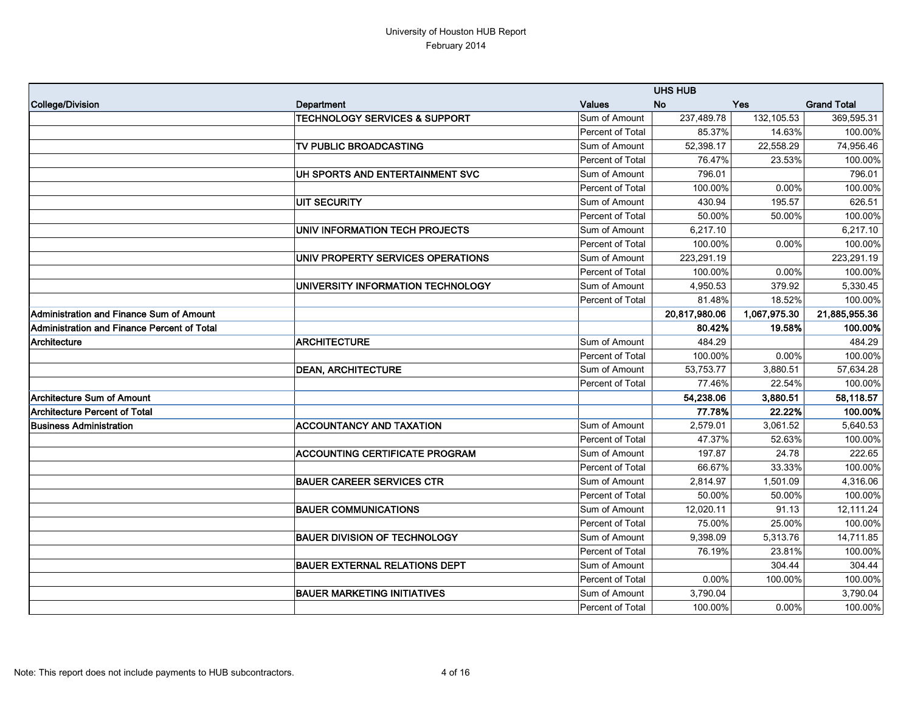|                                             |                                          |                  | <b>UHS HUB</b> |              |                    |
|---------------------------------------------|------------------------------------------|------------------|----------------|--------------|--------------------|
| College/Division                            | Department                               | <b>Values</b>    | <b>No</b>      | <b>Yes</b>   | <b>Grand Total</b> |
|                                             | <b>TECHNOLOGY SERVICES &amp; SUPPORT</b> | Sum of Amount    | 237,489.78     | 132,105.53   | 369,595.31         |
|                                             |                                          | Percent of Total | 85.37%         | 14.63%       | 100.00%            |
|                                             | TV PUBLIC BROADCASTING                   | Sum of Amount    | 52,398.17      | 22,558.29    | 74,956.46          |
|                                             |                                          | Percent of Total | 76.47%         | 23.53%       | 100.00%            |
|                                             | UH SPORTS AND ENTERTAINMENT SVC          | Sum of Amount    | 796.01         |              | 796.01             |
|                                             |                                          | Percent of Total | 100.00%        | 0.00%        | 100.00%            |
|                                             | <b>UIT SECURITY</b>                      | Sum of Amount    | 430.94         | 195.57       | 626.51             |
|                                             |                                          | Percent of Total | 50.00%         | 50.00%       | 100.00%            |
|                                             | UNIV INFORMATION TECH PROJECTS           | Sum of Amount    | 6,217.10       |              | 6,217.10           |
|                                             |                                          | Percent of Total | 100.00%        | 0.00%        | 100.00%            |
|                                             | UNIV PROPERTY SERVICES OPERATIONS        | Sum of Amount    | 223,291.19     |              | 223,291.19         |
|                                             |                                          | Percent of Total | 100.00%        | 0.00%        | 100.00%            |
|                                             | UNIVERSITY INFORMATION TECHNOLOGY        | Sum of Amount    | 4,950.53       | 379.92       | 5,330.45           |
|                                             |                                          | Percent of Total | 81.48%         | 18.52%       | 100.00%            |
| Administration and Finance Sum of Amount    |                                          |                  | 20,817,980.06  | 1,067,975.30 | 21,885,955.36      |
| Administration and Finance Percent of Total |                                          |                  | 80.42%         | 19.58%       | 100.00%            |
| Architecture                                | <b>ARCHITECTURE</b>                      | Sum of Amount    | 484.29         |              | 484.29             |
|                                             |                                          | Percent of Total | 100.00%        | $0.00\%$     | 100.00%            |
|                                             | <b>DEAN, ARCHITECTURE</b>                | Sum of Amount    | 53,753.77      | 3,880.51     | 57,634.28          |
|                                             |                                          | Percent of Total | 77.46%         | 22.54%       | 100.00%            |
| Architecture Sum of Amount                  |                                          |                  | 54,238.06      | 3,880.51     | 58,118.57          |
| <b>Architecture Percent of Total</b>        |                                          |                  | 77.78%         | 22.22%       | 100.00%            |
| <b>Business Administration</b>              | <b>ACCOUNTANCY AND TAXATION</b>          | Sum of Amount    | 2,579.01       | 3,061.52     | 5,640.53           |
|                                             |                                          | Percent of Total | 47.37%         | 52.63%       | 100.00%            |
|                                             | <b>ACCOUNTING CERTIFICATE PROGRAM</b>    | Sum of Amount    | 197.87         | 24.78        | 222.65             |
|                                             |                                          | Percent of Total | 66.67%         | 33.33%       | 100.00%            |
|                                             | <b>BAUER CAREER SERVICES CTR</b>         | Sum of Amount    | 2,814.97       | 1,501.09     | 4,316.06           |
|                                             |                                          | Percent of Total | 50.00%         | 50.00%       | 100.00%            |
|                                             | <b>BAUER COMMUNICATIONS</b>              | Sum of Amount    | 12,020.11      | 91.13        | 12,111.24          |
|                                             |                                          | Percent of Total | 75.00%         | 25.00%       | 100.00%            |
|                                             | <b>BAUER DIVISION OF TECHNOLOGY</b>      | Sum of Amount    | 9,398.09       | 5,313.76     | 14,711.85          |
|                                             |                                          | Percent of Total | 76.19%         | 23.81%       | 100.00%            |
|                                             | <b>BAUER EXTERNAL RELATIONS DEPT</b>     | Sum of Amount    |                | 304.44       | 304.44             |
|                                             |                                          | Percent of Total | 0.00%          | 100.00%      | 100.00%            |
|                                             | <b>BAUER MARKETING INITIATIVES</b>       | Sum of Amount    | 3,790.04       |              | 3,790.04           |
|                                             |                                          | Percent of Total | 100.00%        | $0.00\%$     | 100.00%            |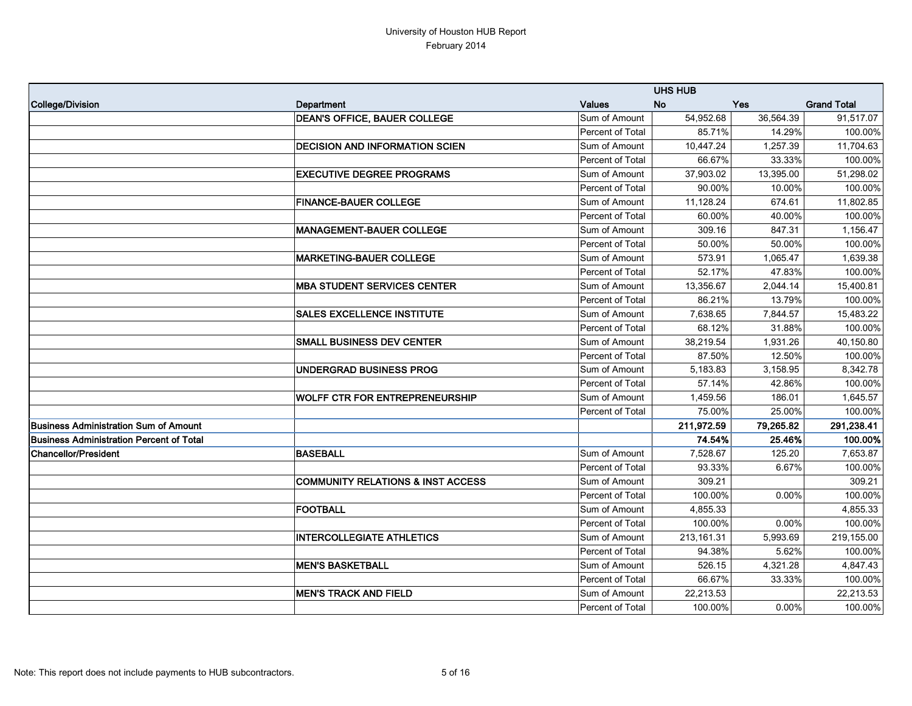|                                          |                                              |                  | <b>UHS HUB</b> |            |                    |
|------------------------------------------|----------------------------------------------|------------------|----------------|------------|--------------------|
| College/Division                         | Department                                   | <b>Values</b>    | <b>No</b>      | <b>Yes</b> | <b>Grand Total</b> |
|                                          | <b>DEAN'S OFFICE, BAUER COLLEGE</b>          | Sum of Amount    | 54,952.68      | 36,564.39  | 91,517.07          |
|                                          |                                              | Percent of Total | 85.71%         | 14.29%     | 100.00%            |
|                                          | <b>DECISION AND INFORMATION SCIEN</b>        | Sum of Amount    | 10,447.24      | 1,257.39   | 11,704.63          |
|                                          |                                              | Percent of Total | 66.67%         | 33.33%     | 100.00%            |
|                                          | <b>EXECUTIVE DEGREE PROGRAMS</b>             | Sum of Amount    | 37,903.02      | 13,395.00  | 51,298.02          |
|                                          |                                              | Percent of Total | 90.00%         | 10.00%     | 100.00%            |
|                                          | <b>FINANCE-BAUER COLLEGE</b>                 | Sum of Amount    | 11,128.24      | 674.61     | 11,802.85          |
|                                          |                                              | Percent of Total | 60.00%         | 40.00%     | 100.00%            |
|                                          | <b>MANAGEMENT-BAUER COLLEGE</b>              | Sum of Amount    | 309.16         | 847.31     | 1,156.47           |
|                                          |                                              | Percent of Total | 50.00%         | 50.00%     | 100.00%            |
|                                          | <b>MARKETING-BAUER COLLEGE</b>               | Sum of Amount    | 573.91         | 1,065.47   | 1,639.38           |
|                                          |                                              | Percent of Total | 52.17%         | 47.83%     | 100.00%            |
|                                          | <b>MBA STUDENT SERVICES CENTER</b>           | Sum of Amount    | 13,356.67      | 2,044.14   | 15,400.81          |
|                                          |                                              | Percent of Total | 86.21%         | 13.79%     | 100.00%            |
|                                          | <b>SALES EXCELLENCE INSTITUTE</b>            | Sum of Amount    | 7,638.65       | 7,844.57   | 15,483.22          |
|                                          |                                              | Percent of Total | 68.12%         | 31.88%     | 100.00%            |
|                                          | <b>SMALL BUSINESS DEV CENTER</b>             | Sum of Amount    | 38,219.54      | 1,931.26   | 40,150.80          |
|                                          |                                              | Percent of Total | 87.50%         | 12.50%     | 100.00%            |
|                                          | UNDERGRAD BUSINESS PROG                      | Sum of Amount    | 5,183.83       | 3,158.95   | 8,342.78           |
|                                          |                                              | Percent of Total | 57.14%         | 42.86%     | 100.00%            |
|                                          | <b>WOLFF CTR FOR ENTREPRENEURSHIP</b>        | Sum of Amount    | 1,459.56       | 186.01     | 1,645.57           |
|                                          |                                              | Percent of Total | 75.00%         | 25.00%     | 100.00%            |
| Business Administration Sum of Amount    |                                              |                  | 211,972.59     | 79,265.82  | 291,238.41         |
| Business Administration Percent of Total |                                              |                  | 74.54%         | 25.46%     | 100.00%            |
| Chancellor/President                     | <b>BASEBALL</b>                              | Sum of Amount    | 7,528.67       | 125.20     | 7,653.87           |
|                                          |                                              | Percent of Total | 93.33%         | 6.67%      | 100.00%            |
|                                          | <b>COMMUNITY RELATIONS &amp; INST ACCESS</b> | Sum of Amount    | 309.21         |            | 309.21             |
|                                          |                                              | Percent of Total | 100.00%        | 0.00%      | 100.00%            |
|                                          | <b>FOOTBALL</b>                              | Sum of Amount    | 4,855.33       |            | 4,855.33           |
|                                          |                                              | Percent of Total | 100.00%        | 0.00%      | 100.00%            |
|                                          | <b>INTERCOLLEGIATE ATHLETICS</b>             | Sum of Amount    | 213, 161.31    | 5,993.69   | 219,155.00         |
|                                          |                                              | Percent of Total | 94.38%         | 5.62%      | 100.00%            |
|                                          | <b>MEN'S BASKETBALL</b>                      | Sum of Amount    | 526.15         | 4,321.28   | 4,847.43           |
|                                          |                                              | Percent of Total | 66.67%         | 33.33%     | 100.00%            |
|                                          | <b>MEN'S TRACK AND FIELD</b>                 | Sum of Amount    | 22,213.53      |            | 22,213.53          |
|                                          |                                              | Percent of Total | 100.00%        | $0.00\%$   | 100.00%            |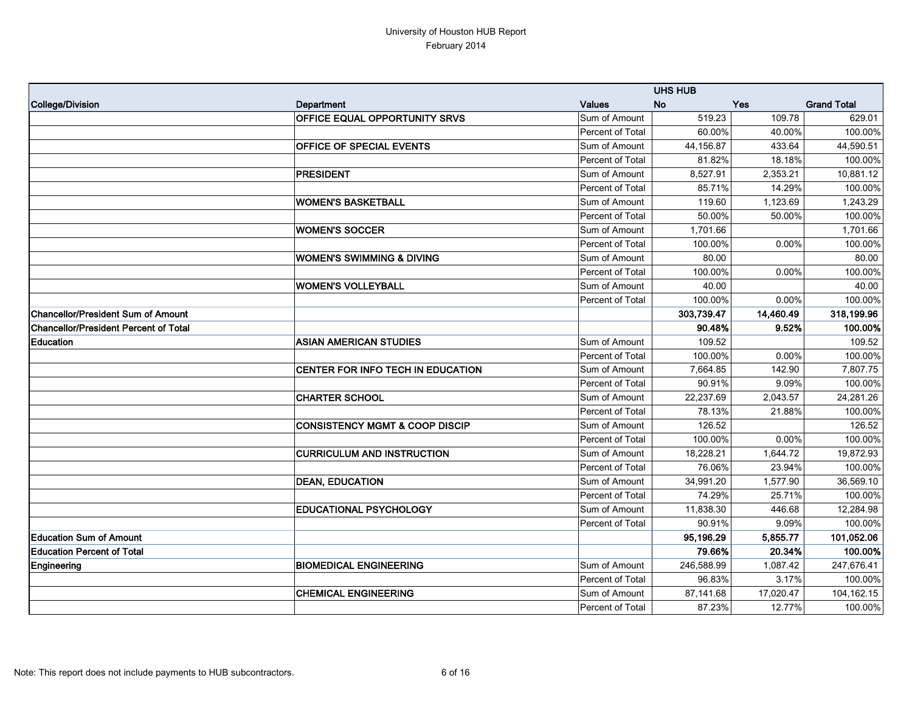|                                              |                                           |                  | <b>UHS HUB</b> |           |                    |
|----------------------------------------------|-------------------------------------------|------------------|----------------|-----------|--------------------|
| College/Division                             | Department                                | <b>Values</b>    | <b>No</b>      | Yes       | <b>Grand Total</b> |
|                                              | OFFICE EQUAL OPPORTUNITY SRVS             | Sum of Amount    | 519.23         | 109.78    | 629.01             |
|                                              |                                           | Percent of Total | 60.00%         | 40.00%    | 100.00%            |
|                                              | OFFICE OF SPECIAL EVENTS                  | Sum of Amount    | 44,156.87      | 433.64    | 44,590.51          |
|                                              |                                           | Percent of Total | 81.82%         | 18.18%    | 100.00%            |
|                                              | PRESIDENT                                 | Sum of Amount    | 8,527.91       | 2,353.21  | 10,881.12          |
|                                              |                                           | Percent of Total | 85.71%         | 14.29%    | 100.00%            |
|                                              | <b>WOMEN'S BASKETBALL</b>                 | Sum of Amount    | 119.60         | 1,123.69  | 1,243.29           |
|                                              |                                           | Percent of Total | 50.00%         | 50.00%    | 100.00%            |
|                                              | <b>WOMEN'S SOCCER</b>                     | Sum of Amount    | 1,701.66       |           | 1,701.66           |
|                                              |                                           | Percent of Total | 100.00%        | 0.00%     | 100.00%            |
|                                              | <b>WOMEN'S SWIMMING &amp; DIVING</b>      | Sum of Amount    | 80.00          |           | 80.00              |
|                                              |                                           | Percent of Total | 100.00%        | 0.00%     | 100.00%            |
|                                              | <b>WOMEN'S VOLLEYBALL</b>                 | Sum of Amount    | 40.00          |           | 40.00              |
|                                              |                                           | Percent of Total | 100.00%        | $0.00\%$  | 100.00%            |
| <b>Chancellor/President Sum of Amount</b>    |                                           |                  | 303,739.47     | 14,460.49 | 318,199.96         |
| <b>Chancellor/President Percent of Total</b> |                                           |                  | 90.48%         | 9.52%     | 100.00%            |
| Education                                    | <b>ASIAN AMERICAN STUDIES</b>             | Sum of Amount    | 109.52         |           | 109.52             |
|                                              |                                           | Percent of Total | 100.00%        | 0.00%     | 100.00%            |
|                                              | CENTER FOR INFO TECH IN EDUCATION         | Sum of Amount    | 7,664.85       | 142.90    | 7,807.75           |
|                                              |                                           | Percent of Total | 90.91%         | 9.09%     | 100.00%            |
|                                              | <b>CHARTER SCHOOL</b>                     | Sum of Amount    | 22,237.69      | 2,043.57  | 24,281.26          |
|                                              |                                           | Percent of Total | 78.13%         | 21.88%    | 100.00%            |
|                                              | <b>CONSISTENCY MGMT &amp; COOP DISCIP</b> | Sum of Amount    | 126.52         |           | 126.52             |
|                                              |                                           | Percent of Total | 100.00%        | 0.00%     | 100.00%            |
|                                              | <b>CURRICULUM AND INSTRUCTION</b>         | Sum of Amount    | 18,228.21      | 1,644.72  | 19,872.93          |
|                                              |                                           | Percent of Total | 76.06%         | 23.94%    | 100.00%            |
|                                              | <b>DEAN, EDUCATION</b>                    | Sum of Amount    | 34,991.20      | 1,577.90  | 36,569.10          |
|                                              |                                           | Percent of Total | 74.29%         | 25.71%    | 100.00%            |
|                                              | <b>EDUCATIONAL PSYCHOLOGY</b>             | Sum of Amount    | 11,838.30      | 446.68    | 12,284.98          |
|                                              |                                           | Percent of Total | 90.91%         | 9.09%     | 100.00%            |
| <b>Education Sum of Amount</b>               |                                           |                  | 95,196.29      | 5,855.77  | 101,052.06         |
| <b>Education Percent of Total</b>            |                                           |                  | 79.66%         | 20.34%    | 100.00%            |
| Engineering                                  | <b>BIOMEDICAL ENGINEERING</b>             | Sum of Amount    | 246,588.99     | 1,087.42  | 247,676.41         |
|                                              |                                           | Percent of Total | 96.83%         | 3.17%     | 100.00%            |
|                                              | <b>CHEMICAL ENGINEERING</b>               | Sum of Amount    | 87,141.68      | 17,020.47 | 104,162.15         |
|                                              |                                           | Percent of Total | 87.23%         | 12.77%    | 100.00%            |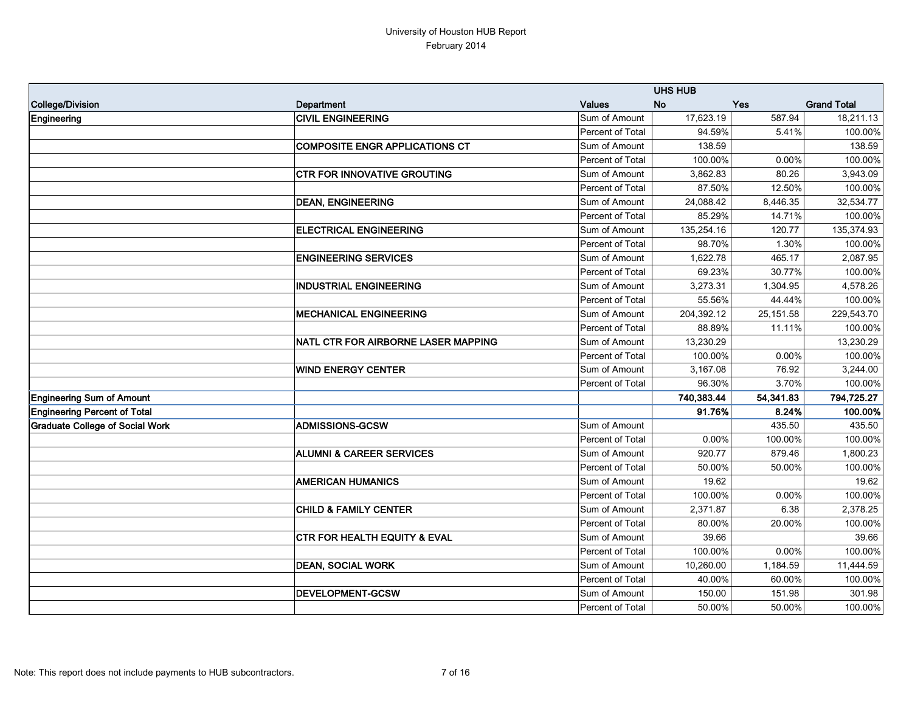|                                        |                                         |                  | <b>UHS HUB</b> |           |                    |
|----------------------------------------|-----------------------------------------|------------------|----------------|-----------|--------------------|
| College/Division                       | Department                              | <b>Values</b>    | <b>No</b>      | Yes       | <b>Grand Total</b> |
| Engineering                            | <b>CIVIL ENGINEERING</b>                | Sum of Amount    | 17,623.19      | 587.94    | 18,211.13          |
|                                        |                                         | Percent of Total | 94.59%         | 5.41%     | 100.00%            |
|                                        | <b>COMPOSITE ENGR APPLICATIONS CT</b>   | Sum of Amount    | 138.59         |           | 138.59             |
|                                        |                                         | Percent of Total | 100.00%        | 0.00%     | 100.00%            |
|                                        | <b>CTR FOR INNOVATIVE GROUTING</b>      | Sum of Amount    | 3,862.83       | 80.26     | 3,943.09           |
|                                        |                                         | Percent of Total | 87.50%         | 12.50%    | 100.00%            |
|                                        | <b>DEAN, ENGINEERING</b>                | Sum of Amount    | 24,088.42      | 8,446.35  | 32,534.77          |
|                                        |                                         | Percent of Total | 85.29%         | 14.71%    | 100.00%            |
|                                        | <b>ELECTRICAL ENGINEERING</b>           | Sum of Amount    | 135,254.16     | 120.77    | 135,374.93         |
|                                        |                                         | Percent of Total | 98.70%         | 1.30%     | 100.00%            |
|                                        | <b>ENGINEERING SERVICES</b>             | Sum of Amount    | 1,622.78       | 465.17    | 2,087.95           |
|                                        |                                         | Percent of Total | 69.23%         | 30.77%    | 100.00%            |
|                                        | <b>INDUSTRIAL ENGINEERING</b>           | Sum of Amount    | 3,273.31       | 1,304.95  | 4,578.26           |
|                                        |                                         | Percent of Total | 55.56%         | 44.44%    | 100.00%            |
|                                        | <b>MECHANICAL ENGINEERING</b>           | Sum of Amount    | 204,392.12     | 25,151.58 | 229,543.70         |
|                                        |                                         | Percent of Total | 88.89%         | 11.11%    | 100.00%            |
|                                        | NATL CTR FOR AIRBORNE LASER MAPPING     | Sum of Amount    | 13,230.29      |           | 13,230.29          |
|                                        |                                         | Percent of Total | 100.00%        | 0.00%     | 100.00%            |
|                                        | <b>WIND ENERGY CENTER</b>               | Sum of Amount    | 3,167.08       | 76.92     | 3,244.00           |
|                                        |                                         | Percent of Total | 96.30%         | 3.70%     | 100.00%            |
| <b>Engineering Sum of Amount</b>       |                                         |                  | 740,383.44     | 54,341.83 | 794,725.27         |
| <b>Engineering Percent of Total</b>    |                                         |                  | 91.76%         | 8.24%     | 100.00%            |
| <b>Graduate College of Social Work</b> | <b>ADMISSIONS-GCSW</b>                  | Sum of Amount    |                | 435.50    | 435.50             |
|                                        |                                         | Percent of Total | 0.00%          | 100.00%   | 100.00%            |
|                                        | <b>ALUMNI &amp; CAREER SERVICES</b>     | Sum of Amount    | 920.77         | 879.46    | 1,800.23           |
|                                        |                                         | Percent of Total | 50.00%         | 50.00%    | 100.00%            |
|                                        | <b>AMERICAN HUMANICS</b>                | Sum of Amount    | 19.62          |           | 19.62              |
|                                        |                                         | Percent of Total | 100.00%        | 0.00%     | 100.00%            |
|                                        | <b>CHILD &amp; FAMILY CENTER</b>        | Sum of Amount    | 2,371.87       | 6.38      | 2,378.25           |
|                                        |                                         | Percent of Total | 80.00%         | 20.00%    | 100.00%            |
|                                        | <b>CTR FOR HEALTH EQUITY &amp; EVAL</b> | Sum of Amount    | 39.66          |           | 39.66              |
|                                        |                                         | Percent of Total | 100.00%        | $0.00\%$  | 100.00%            |
|                                        | <b>DEAN, SOCIAL WORK</b>                | Sum of Amount    | 10,260.00      | 1,184.59  | 11,444.59          |
|                                        |                                         | Percent of Total | 40.00%         | 60.00%    | 100.00%            |
|                                        | <b>DEVELOPMENT-GCSW</b>                 | Sum of Amount    | 150.00         | 151.98    | 301.98             |
|                                        |                                         | Percent of Total | 50.00%         | 50.00%    | 100.00%            |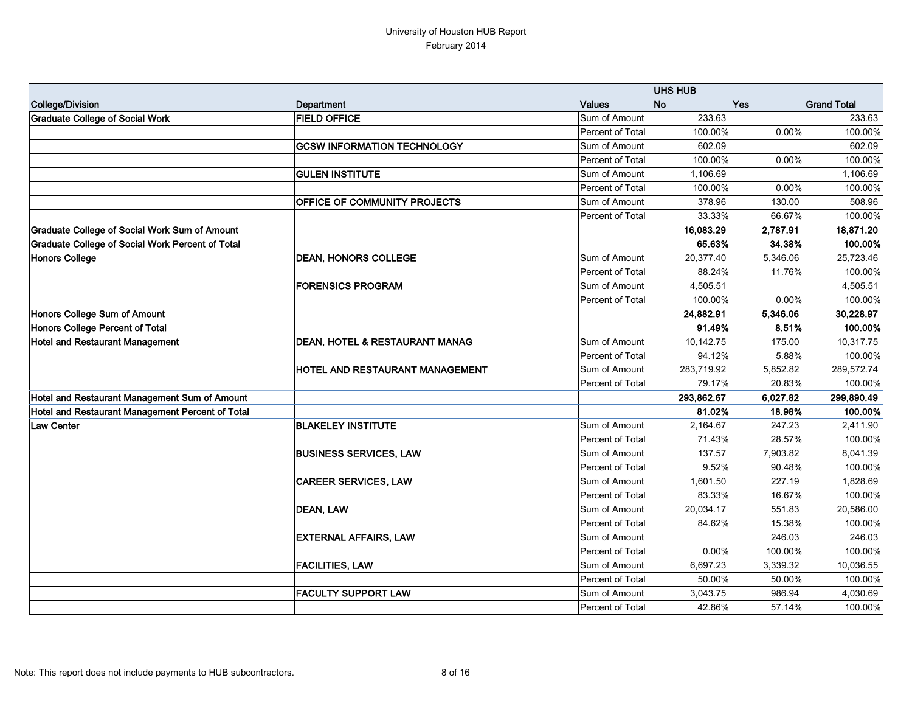|                                                         |                                           |                  | <b>UHS HUB</b> |            |                    |
|---------------------------------------------------------|-------------------------------------------|------------------|----------------|------------|--------------------|
| College/Division                                        | Department                                | <b>Values</b>    | <b>No</b>      | <b>Yes</b> | <b>Grand Total</b> |
| <b>Graduate College of Social Work</b>                  | <b>FIELD OFFICE</b>                       | Sum of Amount    | 233.63         |            | 233.63             |
|                                                         |                                           | Percent of Total | 100.00%        | 0.00%      | 100.00%            |
|                                                         | <b>GCSW INFORMATION TECHNOLOGY</b>        | Sum of Amount    | 602.09         |            | 602.09             |
|                                                         |                                           | Percent of Total | 100.00%        | 0.00%      | 100.00%            |
|                                                         | <b>GULEN INSTITUTE</b>                    | Sum of Amount    | 1,106.69       |            | 1,106.69           |
|                                                         |                                           | Percent of Total | 100.00%        | 0.00%      | 100.00%            |
|                                                         | <b>OFFICE OF COMMUNITY PROJECTS</b>       | Sum of Amount    | 378.96         | 130.00     | 508.96             |
|                                                         |                                           | Percent of Total | 33.33%         | 66.67%     | 100.00%            |
| <b>Graduate College of Social Work Sum of Amount</b>    |                                           |                  | 16,083.29      | 2,787.91   | 18,871.20          |
| <b>Graduate College of Social Work Percent of Total</b> |                                           |                  | 65.63%         | 34.38%     | 100.00%            |
| <b>Honors College</b>                                   | <b>DEAN, HONORS COLLEGE</b>               | Sum of Amount    | 20,377.40      | 5,346.06   | 25,723.46          |
|                                                         |                                           | Percent of Total | 88.24%         | 11.76%     | 100.00%            |
|                                                         | <b>FORENSICS PROGRAM</b>                  | Sum of Amount    | 4,505.51       |            | 4,505.51           |
|                                                         |                                           | Percent of Total | 100.00%        | 0.00%      | 100.00%            |
| Honors College Sum of Amount                            |                                           |                  | 24,882.91      | 5,346.06   | 30,228.97          |
| Honors College Percent of Total                         |                                           |                  | 91.49%         | 8.51%      | 100.00%            |
| <b>Hotel and Restaurant Management</b>                  | <b>DEAN, HOTEL &amp; RESTAURANT MANAG</b> | Sum of Amount    | 10,142.75      | 175.00     | 10,317.75          |
|                                                         |                                           | Percent of Total | 94.12%         | 5.88%      | 100.00%            |
|                                                         | <b>HOTEL AND RESTAURANT MANAGEMENT</b>    | Sum of Amount    | 283,719.92     | 5,852.82   | 289,572.74         |
|                                                         |                                           | Percent of Total | 79.17%         | 20.83%     | 100.00%            |
| Hotel and Restaurant Management Sum of Amount           |                                           |                  | 293,862.67     | 6,027.82   | 299,890.49         |
| Hotel and Restaurant Management Percent of Total        |                                           |                  | 81.02%         | 18.98%     | 100.00%            |
| <b>Law Center</b>                                       | <b>BLAKELEY INSTITUTE</b>                 | Sum of Amount    | 2,164.67       | 247.23     | 2,411.90           |
|                                                         |                                           | Percent of Total | 71.43%         | 28.57%     | 100.00%            |
|                                                         | <b>BUSINESS SERVICES, LAW</b>             | Sum of Amount    | 137.57         | 7,903.82   | 8,041.39           |
|                                                         |                                           | Percent of Total | 9.52%          | 90.48%     | 100.00%            |
|                                                         | <b>CAREER SERVICES, LAW</b>               | Sum of Amount    | 1,601.50       | 227.19     | 1,828.69           |
|                                                         |                                           | Percent of Total | 83.33%         | 16.67%     | 100.00%            |
|                                                         | <b>DEAN, LAW</b>                          | Sum of Amount    | 20,034.17      | 551.83     | 20,586.00          |
|                                                         |                                           | Percent of Total | 84.62%         | 15.38%     | 100.00%            |
|                                                         | <b>EXTERNAL AFFAIRS, LAW</b>              | Sum of Amount    |                | 246.03     | 246.03             |
|                                                         |                                           | Percent of Total | 0.00%          | 100.00%    | 100.00%            |
|                                                         | <b>FACILITIES, LAW</b>                    | Sum of Amount    | 6,697.23       | 3,339.32   | 10,036.55          |
|                                                         |                                           | Percent of Total | 50.00%         | 50.00%     | 100.00%            |
|                                                         | <b>FACULTY SUPPORT LAW</b>                | Sum of Amount    | 3,043.75       | 986.94     | 4,030.69           |
|                                                         |                                           | Percent of Total | 42.86%         | 57.14%     | 100.00%            |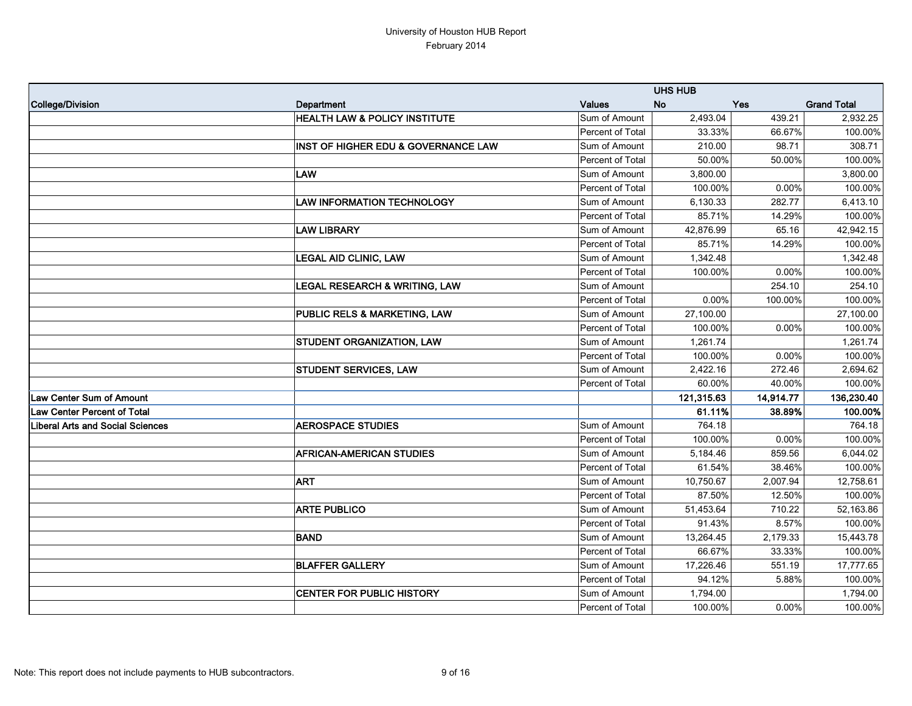|                                         |                                          |                  | <b>UHS HUB</b> |           |                    |
|-----------------------------------------|------------------------------------------|------------------|----------------|-----------|--------------------|
| College/Division                        | Department                               | <b>Values</b>    | <b>No</b>      | Yes       | <b>Grand Total</b> |
|                                         | <b>HEALTH LAW &amp; POLICY INSTITUTE</b> | Sum of Amount    | 2,493.04       | 439.21    | 2,932.25           |
|                                         |                                          | Percent of Total | 33.33%         | 66.67%    | 100.00%            |
|                                         | INST OF HIGHER EDU & GOVERNANCE LAW      | Sum of Amount    | 210.00         | 98.71     | 308.71             |
|                                         |                                          | Percent of Total | 50.00%         | 50.00%    | 100.00%            |
|                                         | <b>LAW</b>                               | Sum of Amount    | 3,800.00       |           | 3,800.00           |
|                                         |                                          | Percent of Total | 100.00%        | 0.00%     | 100.00%            |
|                                         | <b>LAW INFORMATION TECHNOLOGY</b>        | Sum of Amount    | 6,130.33       | 282.77    | 6,413.10           |
|                                         |                                          | Percent of Total | 85.71%         | 14.29%    | 100.00%            |
|                                         | <b>LAW LIBRARY</b>                       | Sum of Amount    | 42,876.99      | 65.16     | 42,942.15          |
|                                         |                                          | Percent of Total | 85.71%         | 14.29%    | 100.00%            |
|                                         | <b>LEGAL AID CLINIC, LAW</b>             | Sum of Amount    | 1,342.48       |           | 1,342.48           |
|                                         |                                          | Percent of Total | 100.00%        | 0.00%     | 100.00%            |
|                                         | <b>LEGAL RESEARCH &amp; WRITING, LAW</b> | Sum of Amount    |                | 254.10    | 254.10             |
|                                         |                                          | Percent of Total | 0.00%          | 100.00%   | 100.00%            |
|                                         | PUBLIC RELS & MARKETING, LAW             | Sum of Amount    | 27,100.00      |           | 27,100.00          |
|                                         |                                          | Percent of Total | 100.00%        | 0.00%     | 100.00%            |
|                                         | <b>STUDENT ORGANIZATION, LAW</b>         | Sum of Amount    | 1,261.74       |           | 1,261.74           |
|                                         |                                          | Percent of Total | 100.00%        | 0.00%     | 100.00%            |
|                                         | <b>STUDENT SERVICES, LAW</b>             | Sum of Amount    | 2,422.16       | 272.46    | 2,694.62           |
|                                         |                                          | Percent of Total | 60.00%         | 40.00%    | 100.00%            |
| Law Center Sum of Amount                |                                          |                  | 121,315.63     | 14,914.77 | 136,230.40         |
| Law Center Percent of Total             |                                          |                  | 61.11%         | 38.89%    | 100.00%            |
| <b>Liberal Arts and Social Sciences</b> | <b>AEROSPACE STUDIES</b>                 | Sum of Amount    | 764.18         |           | 764.18             |
|                                         |                                          | Percent of Total | 100.00%        | 0.00%     | 100.00%            |
|                                         | <b>AFRICAN-AMERICAN STUDIES</b>          | Sum of Amount    | 5,184.46       | 859.56    | 6,044.02           |
|                                         |                                          | Percent of Total | 61.54%         | 38.46%    | 100.00%            |
|                                         | <b>ART</b>                               | Sum of Amount    | 10,750.67      | 2,007.94  | 12,758.61          |
|                                         |                                          | Percent of Total | 87.50%         | 12.50%    | 100.00%            |
|                                         | <b>ARTE PUBLICO</b>                      | Sum of Amount    | 51,453.64      | 710.22    | 52,163.86          |
|                                         |                                          | Percent of Total | 91.43%         | 8.57%     | 100.00%            |
|                                         | <b>BAND</b>                              | Sum of Amount    | 13,264.45      | 2,179.33  | 15,443.78          |
|                                         |                                          | Percent of Total | 66.67%         | 33.33%    | 100.00%            |
|                                         | <b>BLAFFER GALLERY</b>                   | Sum of Amount    | 17,226.46      | 551.19    | 17,777.65          |
|                                         |                                          | Percent of Total | 94.12%         | 5.88%     | 100.00%            |
|                                         | <b>CENTER FOR PUBLIC HISTORY</b>         | Sum of Amount    | 1,794.00       |           | 1,794.00           |
|                                         |                                          | Percent of Total | 100.00%        | $0.00\%$  | 100.00%            |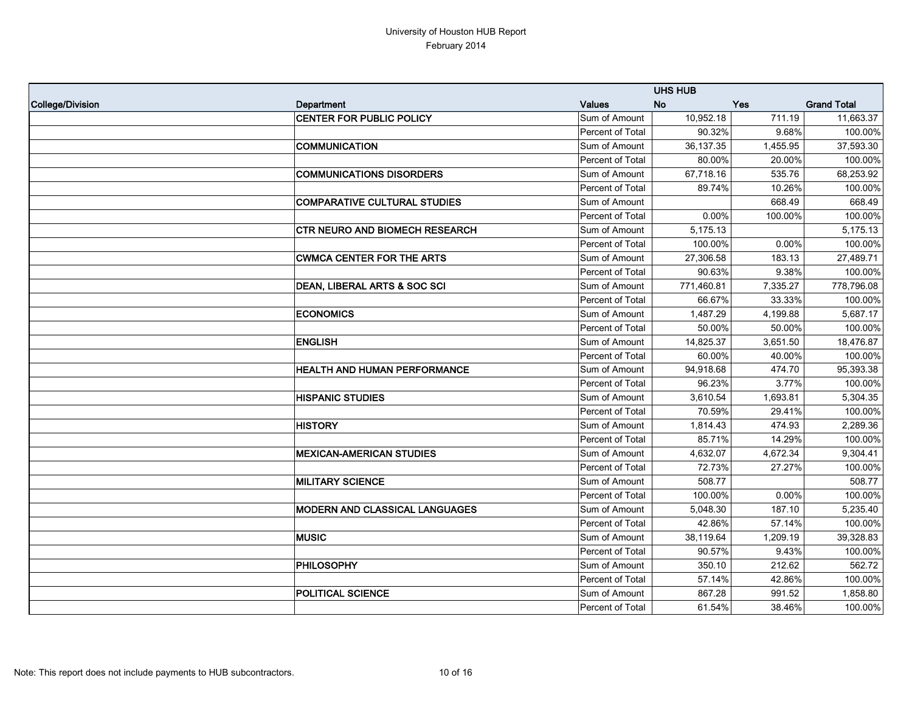|                  |                                       |                  | <b>UHS HUB</b> |            |                    |
|------------------|---------------------------------------|------------------|----------------|------------|--------------------|
| College/Division | Department                            | <b>Values</b>    | <b>No</b>      | <b>Yes</b> | <b>Grand Total</b> |
|                  | <b>CENTER FOR PUBLIC POLICY</b>       | Sum of Amount    | 10,952.18      | 711.19     | 11,663.37          |
|                  |                                       | Percent of Total | 90.32%         | 9.68%      | 100.00%            |
|                  | <b>COMMUNICATION</b>                  | Sum of Amount    | 36,137.35      | 1,455.95   | 37,593.30          |
|                  |                                       | Percent of Total | 80.00%         | 20.00%     | 100.00%            |
|                  | <b>COMMUNICATIONS DISORDERS</b>       | Sum of Amount    | 67,718.16      | 535.76     | 68,253.92          |
|                  |                                       | Percent of Total | 89.74%         | 10.26%     | 100.00%            |
|                  | <b>COMPARATIVE CULTURAL STUDIES</b>   | Sum of Amount    |                | 668.49     | 668.49             |
|                  |                                       | Percent of Total | 0.00%          | 100.00%    | 100.00%            |
|                  | <b>CTR NEURO AND BIOMECH RESEARCH</b> | Sum of Amount    | 5,175.13       |            | 5,175.13           |
|                  |                                       | Percent of Total | 100.00%        | 0.00%      | 100.00%            |
|                  | <b>CWMCA CENTER FOR THE ARTS</b>      | Sum of Amount    | 27,306.58      | 183.13     | 27,489.71          |
|                  |                                       | Percent of Total | 90.63%         | 9.38%      | 100.00%            |
|                  | DEAN, LIBERAL ARTS & SOC SCI          | Sum of Amount    | 771,460.81     | 7,335.27   | 778,796.08         |
|                  |                                       | Percent of Total | 66.67%         | 33.33%     | 100.00%            |
|                  | <b>ECONOMICS</b>                      | Sum of Amount    | 1,487.29       | 4,199.88   | 5,687.17           |
|                  |                                       | Percent of Total | 50.00%         | 50.00%     | 100.00%            |
|                  | <b>ENGLISH</b>                        | Sum of Amount    | 14,825.37      | 3,651.50   | 18,476.87          |
|                  |                                       | Percent of Total | 60.00%         | 40.00%     | 100.00%            |
|                  | HEALTH AND HUMAN PERFORMANCE          | Sum of Amount    | 94,918.68      | 474.70     | 95,393.38          |
|                  |                                       | Percent of Total | 96.23%         | 3.77%      | 100.00%            |
|                  | <b>HISPANIC STUDIES</b>               | Sum of Amount    | 3,610.54       | 1,693.81   | 5,304.35           |
|                  |                                       | Percent of Total | 70.59%         | 29.41%     | 100.00%            |
|                  | <b>HISTORY</b>                        | Sum of Amount    | 1,814.43       | 474.93     | 2,289.36           |
|                  |                                       | Percent of Total | 85.71%         | 14.29%     | 100.00%            |
|                  | <b>MEXICAN-AMERICAN STUDIES</b>       | Sum of Amount    | 4,632.07       | 4,672.34   | 9,304.41           |
|                  |                                       | Percent of Total | 72.73%         | 27.27%     | 100.00%            |
|                  | <b>MILITARY SCIENCE</b>               | Sum of Amount    | 508.77         |            | 508.77             |
|                  |                                       | Percent of Total | 100.00%        | 0.00%      | 100.00%            |
|                  | <b>MODERN AND CLASSICAL LANGUAGES</b> | Sum of Amount    | 5,048.30       | 187.10     | 5,235.40           |
|                  |                                       | Percent of Total | 42.86%         | 57.14%     | 100.00%            |
|                  | <b>MUSIC</b>                          | Sum of Amount    | 38,119.64      | 1,209.19   | 39,328.83          |
|                  |                                       | Percent of Total | 90.57%         | 9.43%      | 100.00%            |
|                  | <b>PHILOSOPHY</b>                     | Sum of Amount    | 350.10         | 212.62     | 562.72             |
|                  |                                       | Percent of Total | 57.14%         | 42.86%     | 100.00%            |
|                  | <b>POLITICAL SCIENCE</b>              | Sum of Amount    | 867.28         | 991.52     | 1,858.80           |
|                  |                                       | Percent of Total | 61.54%         | 38.46%     | 100.00%            |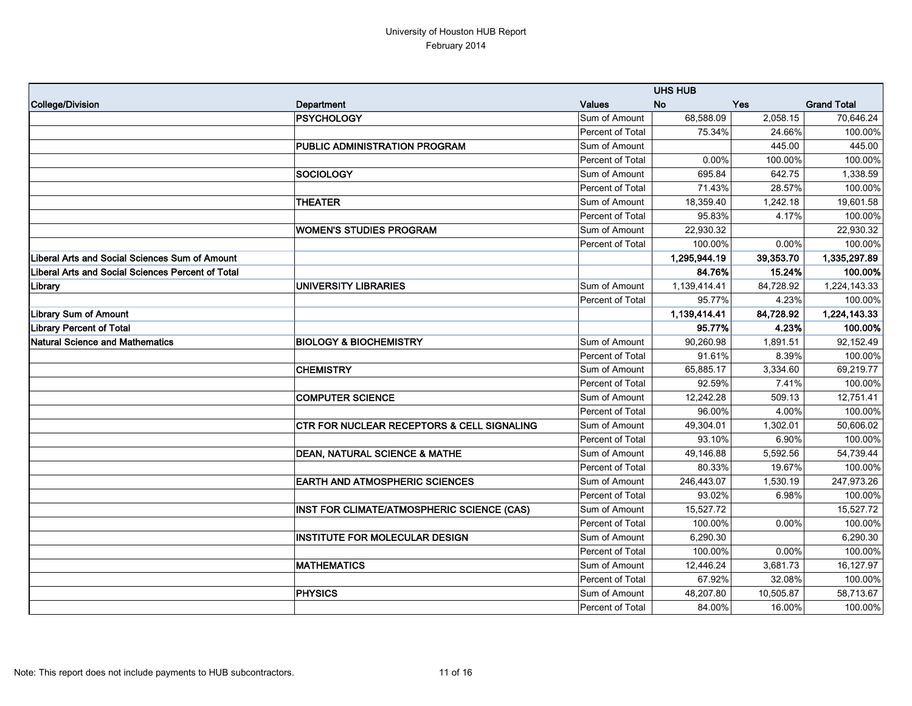|                                                          |                                                       |                  | <b>UHS HUB</b> |            |                    |
|----------------------------------------------------------|-------------------------------------------------------|------------------|----------------|------------|--------------------|
| College/Division                                         | Department                                            | <b>Values</b>    | <b>No</b>      | <b>Yes</b> | <b>Grand Total</b> |
|                                                          | <b>PSYCHOLOGY</b>                                     | Sum of Amount    | 68,588.09      | 2,058.15   | 70,646.24          |
|                                                          |                                                       | Percent of Total | 75.34%         | 24.66%     | 100.00%            |
|                                                          | PUBLIC ADMINISTRATION PROGRAM                         | Sum of Amount    |                | 445.00     | 445.00             |
|                                                          |                                                       | Percent of Total | 0.00%          | 100.00%    | 100.00%            |
|                                                          | <b>SOCIOLOGY</b>                                      | Sum of Amount    | 695.84         | 642.75     | 1,338.59           |
|                                                          |                                                       | Percent of Total | 71.43%         | 28.57%     | 100.00%            |
|                                                          | <b>THEATER</b>                                        | Sum of Amount    | 18,359.40      | 1,242.18   | 19,601.58          |
|                                                          |                                                       | Percent of Total | 95.83%         | 4.17%      | 100.00%            |
|                                                          | <b>WOMEN'S STUDIES PROGRAM</b>                        | Sum of Amount    | 22,930.32      |            | 22,930.32          |
|                                                          |                                                       | Percent of Total | 100.00%        | 0.00%      | 100.00%            |
| <b>Liberal Arts and Social Sciences Sum of Amount</b>    |                                                       |                  | 1,295,944.19   | 39,353.70  | 1,335,297.89       |
| <b>Liberal Arts and Social Sciences Percent of Total</b> |                                                       |                  | 84.76%         | 15.24%     | 100.00%            |
| Library                                                  | <b>UNIVERSITY LIBRARIES</b>                           | Sum of Amount    | 1,139,414.41   | 84,728.92  | 1,224,143.33       |
|                                                          |                                                       | Percent of Total | 95.77%         | 4.23%      | 100.00%            |
| <b>Library Sum of Amount</b>                             |                                                       |                  | 1,139,414.41   | 84,728.92  | 1,224,143.33       |
| <b>Library Percent of Total</b>                          |                                                       |                  | 95.77%         | 4.23%      | 100.00%            |
| <b>Natural Science and Mathematics</b>                   | <b>BIOLOGY &amp; BIOCHEMISTRY</b>                     | Sum of Amount    | 90,260.98      | 1,891.51   | 92,152.49          |
|                                                          |                                                       | Percent of Total | 91.61%         | 8.39%      | 100.00%            |
|                                                          | <b>CHEMISTRY</b>                                      | Sum of Amount    | 65,885.17      | 3,334.60   | 69,219.77          |
|                                                          |                                                       | Percent of Total | 92.59%         | 7.41%      | 100.00%            |
|                                                          | <b>COMPUTER SCIENCE</b>                               | Sum of Amount    | 12,242.28      | 509.13     | 12,751.41          |
|                                                          |                                                       | Percent of Total | 96.00%         | 4.00%      | 100.00%            |
|                                                          | <b>CTR FOR NUCLEAR RECEPTORS &amp; CELL SIGNALING</b> | Sum of Amount    | 49,304.01      | 1,302.01   | 50,606.02          |
|                                                          |                                                       | Percent of Total | 93.10%         | 6.90%      | 100.00%            |
|                                                          | <b>DEAN, NATURAL SCIENCE &amp; MATHE</b>              | Sum of Amount    | 49,146.88      | 5,592.56   | 54,739.44          |
|                                                          |                                                       | Percent of Total | 80.33%         | 19.67%     | 100.00%            |
|                                                          | <b>EARTH AND ATMOSPHERIC SCIENCES</b>                 | Sum of Amount    | 246,443.07     | 1,530.19   | 247,973.26         |
|                                                          |                                                       | Percent of Total | 93.02%         | 6.98%      | 100.00%            |
|                                                          | INST FOR CLIMATE/ATMOSPHERIC SCIENCE (CAS)            | Sum of Amount    | 15,527.72      |            | 15,527.72          |
|                                                          |                                                       | Percent of Total | 100.00%        | $0.00\%$   | 100.00%            |
|                                                          | <b>INSTITUTE FOR MOLECULAR DESIGN</b>                 | Sum of Amount    | 6,290.30       |            | 6,290.30           |
|                                                          |                                                       | Percent of Total | 100.00%        | $0.00\%$   | 100.00%            |
|                                                          | <b>MATHEMATICS</b>                                    | Sum of Amount    | 12,446.24      | 3,681.73   | 16,127.97          |
|                                                          |                                                       | Percent of Total | 67.92%         | 32.08%     | 100.00%            |
|                                                          | <b>PHYSICS</b>                                        | Sum of Amount    | 48,207.80      | 10,505.87  | 58,713.67          |
|                                                          |                                                       | Percent of Total | 84.00%         | 16.00%     | 100.00%            |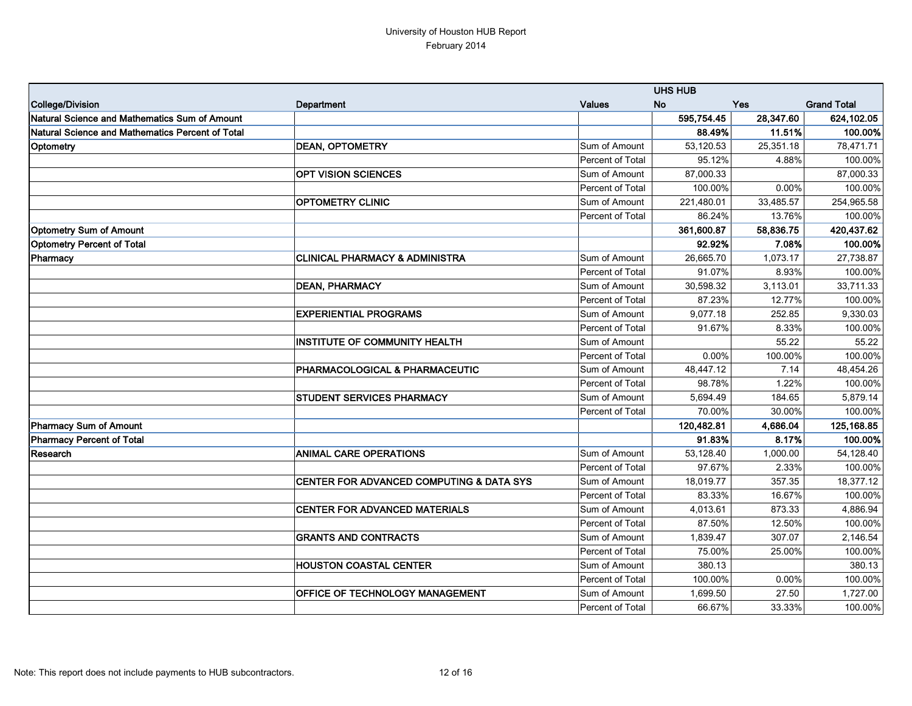|                                                  |                                           |                         | <b>UHS HUB</b> |            |                    |
|--------------------------------------------------|-------------------------------------------|-------------------------|----------------|------------|--------------------|
| College/Division                                 | Department                                | <b>Values</b>           | <b>No</b>      | <b>Yes</b> | <b>Grand Total</b> |
| Natural Science and Mathematics Sum of Amount    |                                           |                         | 595,754.45     | 28,347.60  | 624,102.05         |
| Natural Science and Mathematics Percent of Total |                                           |                         | 88.49%         | 11.51%     | 100.00%            |
| Optometry                                        | <b>DEAN, OPTOMETRY</b>                    | Sum of Amount           | 53,120.53      | 25,351.18  | 78,471.71          |
|                                                  |                                           | Percent of Total        | 95.12%         | 4.88%      | 100.00%            |
|                                                  | <b>OPT VISION SCIENCES</b>                | Sum of Amount           | 87,000.33      |            | 87,000.33          |
|                                                  |                                           | Percent of Total        | 100.00%        | 0.00%      | 100.00%            |
|                                                  | <b>OPTOMETRY CLINIC</b>                   | Sum of Amount           | 221,480.01     | 33,485.57  | 254,965.58         |
|                                                  |                                           | Percent of Total        | 86.24%         | 13.76%     | 100.00%            |
| <b>Optometry Sum of Amount</b>                   |                                           |                         | 361,600.87     | 58,836.75  | 420,437.62         |
| <b>Optometry Percent of Total</b>                |                                           |                         | 92.92%         | 7.08%      | 100.00%            |
| Pharmacy                                         | <b>CLINICAL PHARMACY &amp; ADMINISTRA</b> | Sum of Amount           | 26,665.70      | 1,073.17   | 27,738.87          |
|                                                  |                                           | Percent of Total        | 91.07%         | 8.93%      | 100.00%            |
|                                                  | <b>DEAN, PHARMACY</b>                     | Sum of Amount           | 30,598.32      | 3,113.01   | 33,711.33          |
|                                                  |                                           | Percent of Total        | 87.23%         | 12.77%     | 100.00%            |
|                                                  | <b>EXPERIENTIAL PROGRAMS</b>              | Sum of Amount           | 9,077.18       | 252.85     | 9,330.03           |
|                                                  |                                           | Percent of Total        | 91.67%         | 8.33%      | 100.00%            |
|                                                  | <b>INSTITUTE OF COMMUNITY HEALTH</b>      | Sum of Amount           |                | 55.22      | 55.22              |
|                                                  |                                           | <b>Percent of Total</b> | 0.00%          | 100.00%    | 100.00%            |
|                                                  | <b>PHARMACOLOGICAL &amp; PHARMACEUTIC</b> | Sum of Amount           | 48,447.12      | 7.14       | 48,454.26          |
|                                                  |                                           | Percent of Total        | 98.78%         | 1.22%      | 100.00%            |
|                                                  | <b>STUDENT SERVICES PHARMACY</b>          | Sum of Amount           | 5,694.49       | 184.65     | 5,879.14           |
|                                                  |                                           | Percent of Total        | 70.00%         | 30.00%     | 100.00%            |
| <b>Pharmacy Sum of Amount</b>                    |                                           |                         | 120,482.81     | 4,686.04   | 125,168.85         |
| Pharmacy Percent of Total                        |                                           |                         | 91.83%         | 8.17%      | 100.00%            |
| Research                                         | <b>ANIMAL CARE OPERATIONS</b>             | Sum of Amount           | 53,128.40      | 1,000.00   | 54,128.40          |
|                                                  |                                           | Percent of Total        | 97.67%         | 2.33%      | 100.00%            |
|                                                  | CENTER FOR ADVANCED COMPUTING & DATA SYS  | Sum of Amount           | 18,019.77      | 357.35     | 18,377.12          |
|                                                  |                                           | Percent of Total        | 83.33%         | 16.67%     | 100.00%            |
|                                                  | <b>CENTER FOR ADVANCED MATERIALS</b>      | Sum of Amount           | 4,013.61       | 873.33     | 4,886.94           |
|                                                  |                                           | Percent of Total        | 87.50%         | 12.50%     | 100.00%            |
|                                                  | <b>GRANTS AND CONTRACTS</b>               | Sum of Amount           | 1,839.47       | 307.07     | 2,146.54           |
|                                                  |                                           | Percent of Total        | 75.00%         | 25.00%     | 100.00%            |
|                                                  | <b>HOUSTON COASTAL CENTER</b>             | Sum of Amount           | 380.13         |            | 380.13             |
|                                                  |                                           | Percent of Total        | 100.00%        | 0.00%      | 100.00%            |
|                                                  | <b>OFFICE OF TECHNOLOGY MANAGEMENT</b>    | Sum of Amount           | 1,699.50       | 27.50      | 1,727.00           |
|                                                  |                                           | Percent of Total        | 66.67%         | 33.33%     | 100.00%            |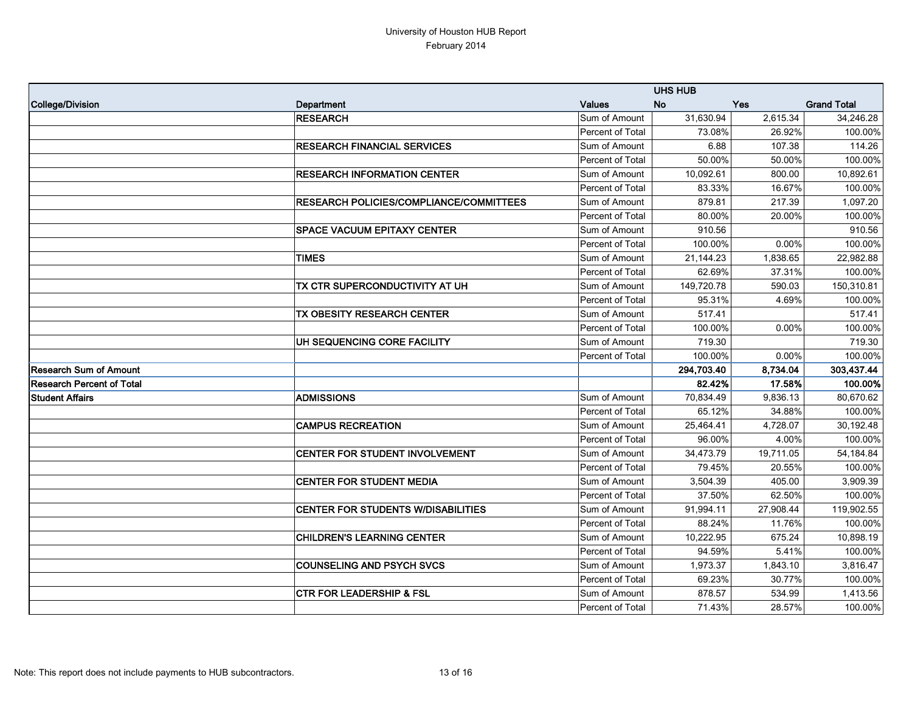|                                  |                                                | <b>UHS HUB</b>   |            |            |                    |
|----------------------------------|------------------------------------------------|------------------|------------|------------|--------------------|
| College/Division                 | Department                                     | <b>Values</b>    | <b>No</b>  | <b>Yes</b> | <b>Grand Total</b> |
|                                  | <b>RESEARCH</b>                                | Sum of Amount    | 31,630.94  | 2,615.34   | 34,246.28          |
|                                  |                                                | Percent of Total | 73.08%     | 26.92%     | 100.00%            |
|                                  | <b>RESEARCH FINANCIAL SERVICES</b>             | Sum of Amount    | 6.88       | 107.38     | 114.26             |
|                                  |                                                | Percent of Total | 50.00%     | 50.00%     | 100.00%            |
|                                  | <b>RESEARCH INFORMATION CENTER</b>             | Sum of Amount    | 10,092.61  | 800.00     | 10,892.61          |
|                                  |                                                | Percent of Total | 83.33%     | 16.67%     | 100.00%            |
|                                  | <b>RESEARCH POLICIES/COMPLIANCE/COMMITTEES</b> | Sum of Amount    | 879.81     | 217.39     | 1,097.20           |
|                                  |                                                | Percent of Total | 80.00%     | 20.00%     | 100.00%            |
|                                  | <b>SPACE VACUUM EPITAXY CENTER</b>             | Sum of Amount    | 910.56     |            | 910.56             |
|                                  |                                                | Percent of Total | 100.00%    | 0.00%      | 100.00%            |
|                                  | <b>TIMES</b>                                   | Sum of Amount    | 21,144.23  | 1,838.65   | 22,982.88          |
|                                  |                                                | Percent of Total | 62.69%     | 37.31%     | 100.00%            |
|                                  | TX CTR SUPERCONDUCTIVITY AT UH                 | Sum of Amount    | 149,720.78 | 590.03     | 150,310.81         |
|                                  |                                                | Percent of Total | 95.31%     | 4.69%      | 100.00%            |
|                                  | <b>TX OBESITY RESEARCH CENTER</b>              | Sum of Amount    | 517.41     |            | 517.41             |
|                                  |                                                | Percent of Total | 100.00%    | 0.00%      | 100.00%            |
|                                  | UH SEQUENCING CORE FACILITY                    | Sum of Amount    | 719.30     |            | 719.30             |
|                                  |                                                | Percent of Total | 100.00%    | $0.00\%$   | 100.00%            |
| <b>Research Sum of Amount</b>    |                                                |                  | 294,703.40 | 8,734.04   | 303,437.44         |
| <b>Research Percent of Total</b> |                                                |                  | 82.42%     | 17.58%     | 100.00%            |
| <b>Student Affairs</b>           | <b>ADMISSIONS</b>                              | Sum of Amount    | 70,834.49  | 9,836.13   | 80,670.62          |
|                                  |                                                | Percent of Total | 65.12%     | 34.88%     | 100.00%            |
|                                  | <b>CAMPUS RECREATION</b>                       | Sum of Amount    | 25,464.41  | 4,728.07   | 30,192.48          |
|                                  |                                                | Percent of Total | 96.00%     | 4.00%      | 100.00%            |
|                                  | CENTER FOR STUDENT INVOLVEMENT                 | Sum of Amount    | 34,473.79  | 19,711.05  | 54,184.84          |
|                                  |                                                | Percent of Total | 79.45%     | 20.55%     | 100.00%            |
|                                  | <b>CENTER FOR STUDENT MEDIA</b>                | Sum of Amount    | 3,504.39   | 405.00     | 3,909.39           |
|                                  |                                                | Percent of Total | 37.50%     | 62.50%     | 100.00%            |
|                                  | <b>CENTER FOR STUDENTS W/DISABILITIES</b>      | Sum of Amount    | 91,994.11  | 27,908.44  | 119,902.55         |
|                                  |                                                | Percent of Total | 88.24%     | 11.76%     | 100.00%            |
|                                  | <b>CHILDREN'S LEARNING CENTER</b>              | Sum of Amount    | 10,222.95  | 675.24     | 10,898.19          |
|                                  |                                                | Percent of Total | 94.59%     | 5.41%      | 100.00%            |
|                                  | <b>COUNSELING AND PSYCH SVCS</b>               | Sum of Amount    | 1,973.37   | 1,843.10   | 3,816.47           |
|                                  |                                                | Percent of Total | 69.23%     | 30.77%     | 100.00%            |
|                                  | <b>CTR FOR LEADERSHIP &amp; FSL</b>            | Sum of Amount    | 878.57     | 534.99     | 1,413.56           |
|                                  |                                                | Percent of Total | 71.43%     | 28.57%     | 100.00%            |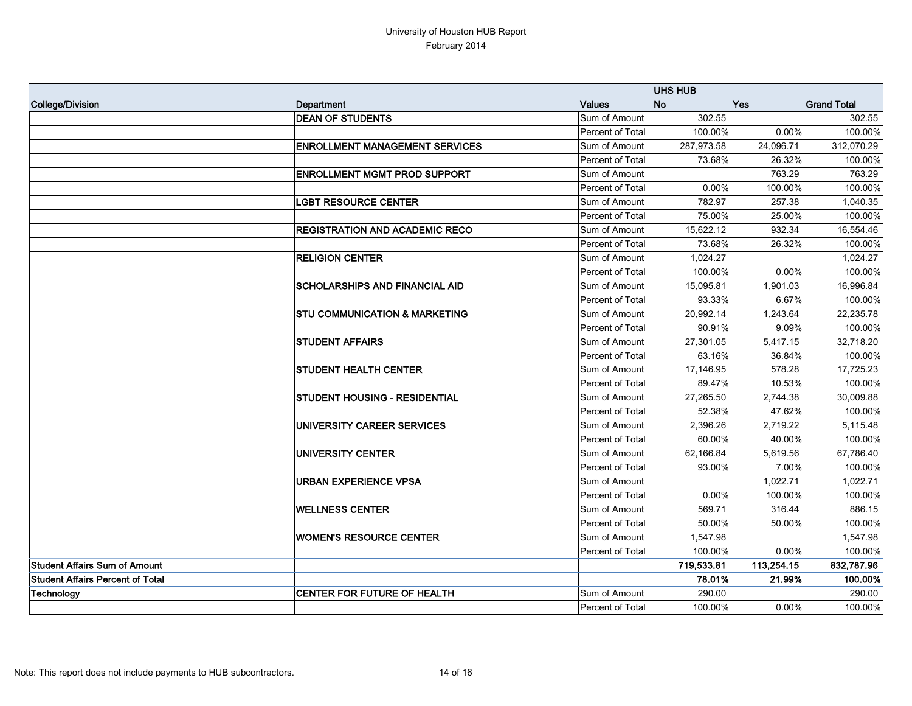|                                         |                                          | <b>UHS HUB</b>   |            |            |                    |
|-----------------------------------------|------------------------------------------|------------------|------------|------------|--------------------|
| College/Division                        | Department                               | <b>Values</b>    | <b>No</b>  | <b>Yes</b> | <b>Grand Total</b> |
|                                         | <b>DEAN OF STUDENTS</b>                  | Sum of Amount    | 302.55     |            | 302.55             |
|                                         |                                          | Percent of Total | 100.00%    | 0.00%      | 100.00%            |
|                                         | <b>ENROLLMENT MANAGEMENT SERVICES</b>    | Sum of Amount    | 287,973.58 | 24,096.71  | 312,070.29         |
|                                         |                                          | Percent of Total | 73.68%     | 26.32%     | 100.00%            |
|                                         | <b>ENROLLMENT MGMT PROD SUPPORT</b>      | Sum of Amount    |            | 763.29     | 763.29             |
|                                         |                                          | Percent of Total | 0.00%      | 100.00%    | 100.00%            |
|                                         | <b>LGBT RESOURCE CENTER</b>              | Sum of Amount    | 782.97     | 257.38     | 1,040.35           |
|                                         |                                          | Percent of Total | 75.00%     | 25.00%     | 100.00%            |
|                                         | <b>REGISTRATION AND ACADEMIC RECO</b>    | Sum of Amount    | 15,622.12  | 932.34     | 16,554.46          |
|                                         |                                          | Percent of Total | 73.68%     | 26.32%     | 100.00%            |
|                                         | <b>RELIGION CENTER</b>                   | Sum of Amount    | 1,024.27   |            | 1,024.27           |
|                                         |                                          | Percent of Total | 100.00%    | 0.00%      | 100.00%            |
|                                         | <b>SCHOLARSHIPS AND FINANCIAL AID</b>    | Sum of Amount    | 15,095.81  | 1,901.03   | 16,996.84          |
|                                         |                                          | Percent of Total | 93.33%     | 6.67%      | 100.00%            |
|                                         | <b>STU COMMUNICATION &amp; MARKETING</b> | Sum of Amount    | 20,992.14  | 1,243.64   | 22,235.78          |
|                                         |                                          | Percent of Total | 90.91%     | 9.09%      | 100.00%            |
|                                         | <b>STUDENT AFFAIRS</b>                   | Sum of Amount    | 27,301.05  | 5,417.15   | 32,718.20          |
|                                         |                                          | Percent of Total | 63.16%     | 36.84%     | 100.00%            |
|                                         | <b>STUDENT HEALTH CENTER</b>             | Sum of Amount    | 17,146.95  | 578.28     | 17,725.23          |
|                                         |                                          | Percent of Total | 89.47%     | 10.53%     | 100.00%            |
|                                         | <b>STUDENT HOUSING - RESIDENTIAL</b>     | Sum of Amount    | 27,265.50  | 2,744.38   | 30,009.88          |
|                                         |                                          | Percent of Total | 52.38%     | 47.62%     | 100.00%            |
|                                         | UNIVERSITY CAREER SERVICES               | Sum of Amount    | 2,396.26   | 2,719.22   | 5,115.48           |
|                                         |                                          | Percent of Total | 60.00%     | 40.00%     | 100.00%            |
|                                         | <b>UNIVERSITY CENTER</b>                 | Sum of Amount    | 62,166.84  | 5,619.56   | 67,786.40          |
|                                         |                                          | Percent of Total | 93.00%     | 7.00%      | 100.00%            |
|                                         | <b>URBAN EXPERIENCE VPSA</b>             | Sum of Amount    |            | 1,022.71   | 1,022.71           |
|                                         |                                          | Percent of Total | 0.00%      | 100.00%    | 100.00%            |
|                                         | <b>WELLNESS CENTER</b>                   | Sum of Amount    | 569.71     | 316.44     | 886.15             |
|                                         |                                          | Percent of Total | 50.00%     | 50.00%     | 100.00%            |
|                                         | <b>WOMEN'S RESOURCE CENTER</b>           | Sum of Amount    | 1,547.98   |            | 1,547.98           |
|                                         |                                          | Percent of Total | 100.00%    | 0.00%      | 100.00%            |
| <b>Student Affairs Sum of Amount</b>    |                                          |                  | 719,533.81 | 113,254.15 | 832,787.96         |
| <b>Student Affairs Percent of Total</b> |                                          |                  | 78.01%     | 21.99%     | 100.00%            |
| Technology                              | <b>CENTER FOR FUTURE OF HEALTH</b>       | Sum of Amount    | 290.00     |            | 290.00             |
|                                         |                                          | Percent of Total | 100.00%    | $0.00\%$   | 100.00%            |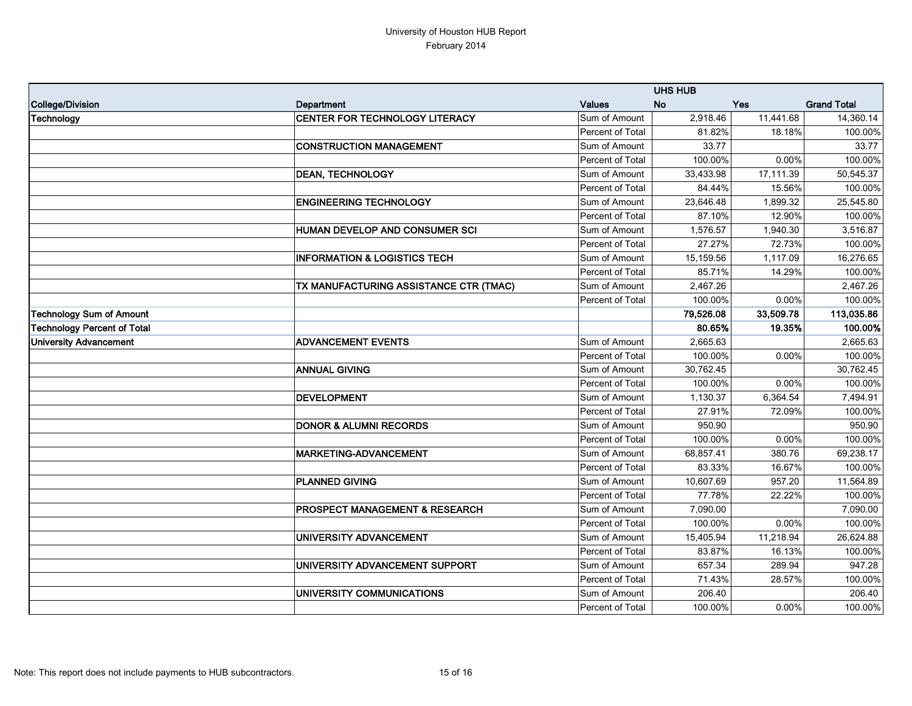|                                    |                                           | <b>UHS HUB</b>   |           |           |                    |
|------------------------------------|-------------------------------------------|------------------|-----------|-----------|--------------------|
| College/Division                   | Department                                | <b>Values</b>    | <b>No</b> | Yes       | <b>Grand Total</b> |
| Technology                         | CENTER FOR TECHNOLOGY LITERACY            | Sum of Amount    | 2,918.46  | 11,441.68 | 14,360.14          |
|                                    |                                           | Percent of Total | 81.82%    | 18.18%    | 100.00%            |
|                                    | <b>CONSTRUCTION MANAGEMENT</b>            | Sum of Amount    | 33.77     |           | 33.77              |
|                                    |                                           | Percent of Total | 100.00%   | 0.00%     | 100.00%            |
|                                    | <b>DEAN, TECHNOLOGY</b>                   | Sum of Amount    | 33,433.98 | 17,111.39 | 50,545.37          |
|                                    |                                           | Percent of Total | 84.44%    | 15.56%    | 100.00%            |
|                                    | <b>ENGINEERING TECHNOLOGY</b>             | Sum of Amount    | 23,646.48 | 1,899.32  | 25,545.80          |
|                                    |                                           | Percent of Total | 87.10%    | 12.90%    | 100.00%            |
|                                    | HUMAN DEVELOP AND CONSUMER SCI            | Sum of Amount    | 1,576.57  | 1,940.30  | 3,516.87           |
|                                    |                                           | Percent of Total | 27.27%    | 72.73%    | 100.00%            |
|                                    | <b>INFORMATION &amp; LOGISTICS TECH</b>   | Sum of Amount    | 15,159.56 | 1,117.09  | 16,276.65          |
|                                    |                                           | Percent of Total | 85.71%    | 14.29%    | 100.00%            |
|                                    | TX MANUFACTURING ASSISTANCE CTR (TMAC)    | Sum of Amount    | 2,467.26  |           | 2,467.26           |
|                                    |                                           | Percent of Total | 100.00%   | $0.00\%$  | 100.00%            |
| <b>Technology Sum of Amount</b>    |                                           |                  | 79,526.08 | 33,509.78 | 113,035.86         |
| <b>Technology Percent of Total</b> |                                           |                  | 80.65%    | 19.35%    | 100.00%            |
| <b>University Advancement</b>      | <b>ADVANCEMENT EVENTS</b>                 | Sum of Amount    | 2,665.63  |           | 2,665.63           |
|                                    |                                           | Percent of Total | 100.00%   | 0.00%     | 100.00%            |
|                                    | <b>ANNUAL GIVING</b>                      | Sum of Amount    | 30,762.45 |           | 30,762.45          |
|                                    |                                           | Percent of Total | 100.00%   | 0.00%     | 100.00%            |
|                                    | <b>DEVELOPMENT</b>                        | Sum of Amount    | 1,130.37  | 6,364.54  | 7,494.91           |
|                                    |                                           | Percent of Total | 27.91%    | 72.09%    | 100.00%            |
|                                    | <b>DONOR &amp; ALUMNI RECORDS</b>         | Sum of Amount    | 950.90    |           | 950.90             |
|                                    |                                           | Percent of Total | 100.00%   | 0.00%     | 100.00%            |
|                                    | MARKETING-ADVANCEMENT                     | Sum of Amount    | 68,857.41 | 380.76    | 69,238.17          |
|                                    |                                           | Percent of Total | 83.33%    | 16.67%    | 100.00%            |
|                                    | <b>PLANNED GIVING</b>                     | Sum of Amount    | 10,607.69 | 957.20    | 11,564.89          |
|                                    |                                           | Percent of Total | 77.78%    | 22.22%    | 100.00%            |
|                                    | <b>PROSPECT MANAGEMENT &amp; RESEARCH</b> | Sum of Amount    | 7,090.00  |           | 7,090.00           |
|                                    |                                           | Percent of Total | 100.00%   | $0.00\%$  | 100.00%            |
|                                    | UNIVERSITY ADVANCEMENT                    | Sum of Amount    | 15,405.94 | 11,218.94 | 26,624.88          |
|                                    |                                           | Percent of Total | 83.87%    | 16.13%    | 100.00%            |
|                                    | UNIVERSITY ADVANCEMENT SUPPORT            | Sum of Amount    | 657.34    | 289.94    | 947.28             |
|                                    |                                           | Percent of Total | 71.43%    | 28.57%    | 100.00%            |
|                                    | UNIVERSITY COMMUNICATIONS                 | Sum of Amount    | 206.40    |           | 206.40             |
|                                    |                                           | Percent of Total | 100.00%   | $0.00\%$  | 100.00%            |